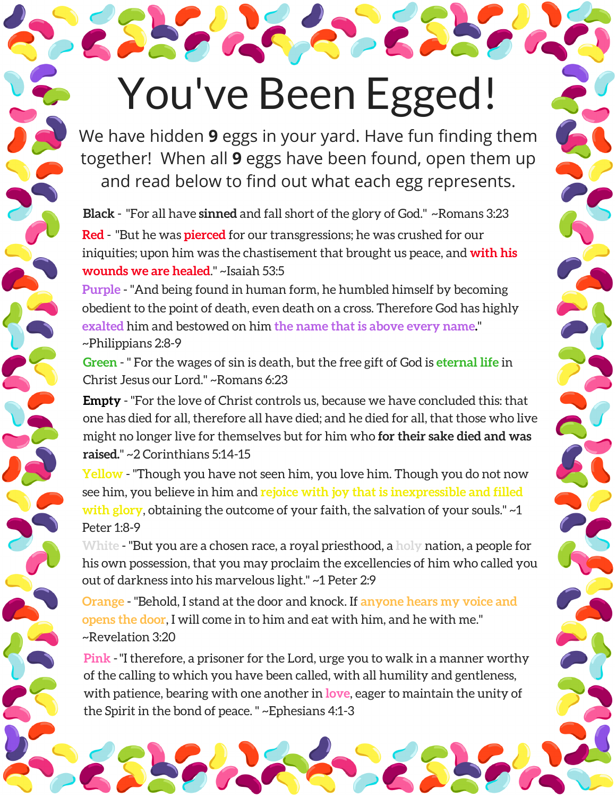## You've Been Egged!

We have hidden **9** eggs in your yard. Have fun finding them together! When all **9** eggs have been found, open them up and read below to find out what each egg represents.

**Black** - "For all have **sinned** and fall short of the glory of God." ~Romans 3:23 **Red** - "But he was **pierced** for our transgressions; he was crushed for our iniquities; upon him was the chastisement that brought us peace, and **with his wounds we are healed**." ~Isaiah 53:5

**Purple** - "And being found in human form, he humbled himself by becoming obedient to the point of death, even death on a cross. Therefore God has highly **exalted** him and bestowed on him **the name that is above every name.**" ~Philippians 2:8-9

**Green** - " For the wages of sin is death, but the free gift of God is **eternal life** in Christ Jesus our Lord." ~Romans 6:23

**Empty** - "For the love of Christ controls us, because we have concluded this: that one has died for all, therefore all have died; and he died for all, that those who live might no longer live for themselves but for him who **for their sake died and was raised.**" ~2 Corinthians 5:14-15

**Yellow** - "Though you have not seen him, you love him. Though you do not now see him, you believe in him and **rejoice with joy that is inexpressible and filled with glory**, obtaining the outcome of your faith, the salvation of your souls." ~1 Peter 1:8-9

**White** - "But you are a chosen race, a royal priesthood, a **holy** nation, a people for his own possession, that you may proclaim the excellencies of him who called you out of darkness into his marvelous light." ~1 Peter 2:9

**Orange** - "Behold, I stand at the door and knock. If **anyone hears my voice and opens the door**, I will come in to him and eat with him, and he with me." ~Revelation 3:20

**Pink** -"I therefore, a prisoner for the Lord, urge you to walk in a manner worthy of the calling to which you have been called, with all humility and gentleness, with patience, bearing with one another in **love**, eager to maintain the unity of the Spirit in the bond of peace. " ~Ephesians 4:1-3